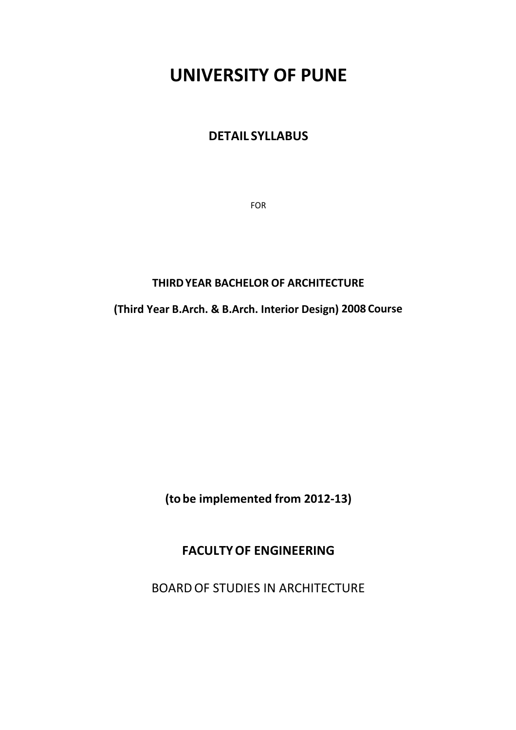# **UNIVERSITY OF PUNE**

## **DETAIL SYLLABUS**

FOR

## **THIRD YEAR BACHELOR OF ARCHITECTURE**

**(Third Year B.Arch. & B.Arch. Interior Design) 2008 Course**

**(to be implemented from 2012‐13)**

## **FACULTY OF ENGINEERING**

BOARD OF STUDIES IN ARCHITECTURE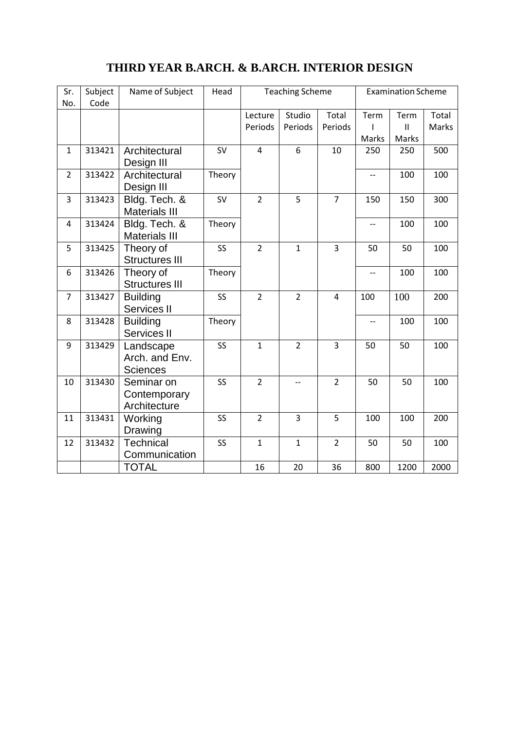## **THIRD YEAR B.ARCH. & B.ARCH. INTERIOR DESIGN**

| Sr.<br>No.     | Subject<br>Code | Name of Subject                                | Head      | <b>Teaching Scheme</b> |                   | <b>Examination Scheme</b> |                          |                                |                |
|----------------|-----------------|------------------------------------------------|-----------|------------------------|-------------------|---------------------------|--------------------------|--------------------------------|----------------|
|                |                 |                                                |           | Lecture<br>Periods     | Studio<br>Periods | Total<br>Periods          | Term<br>ı<br>Marks       | Term<br>$\mathbf{II}$<br>Marks | Total<br>Marks |
| $\mathbf{1}$   | 313421          | Architectural<br>Design III                    | <b>SV</b> | $\overline{4}$         | 6                 | 10                        | 250                      | 250                            | 500            |
| $\overline{2}$ | 313422          | Architectural<br>Design III                    | Theory    |                        |                   |                           | $-$                      | 100                            | 100            |
| 3              | 313423          | Bldg. Tech. &<br><b>Materials III</b>          | <b>SV</b> | $\overline{2}$         | 5                 | $\overline{7}$            | 150                      | 150                            | 300            |
| 4              | 313424          | Bldg. Tech. &<br><b>Materials III</b>          | Theory    |                        |                   |                           | $-1$                     | 100                            | 100            |
| 5              | 313425          | Theory of<br><b>Structures III</b>             | SS        | $\overline{2}$         | $\mathbf{1}$      | $\overline{3}$            | 50                       | 50                             | 100            |
| 6              | 313426          | Theory of<br><b>Structures III</b>             | Theory    |                        |                   |                           | $-$                      | 100                            | 100            |
| $\overline{7}$ | 313427          | <b>Building</b><br>Services II                 | SS        | $\overline{2}$         | $\overline{2}$    | $\overline{4}$            | 100                      | 100                            | 200            |
| 8              | 313428          | <b>Building</b><br>Services II                 | Theory    |                        |                   |                           | $\overline{\phantom{a}}$ | 100                            | 100            |
| 9              | 313429          | Landscape<br>Arch. and Env.<br><b>Sciences</b> | SS        | $\mathbf{1}$           | $\overline{2}$    | 3                         | 50                       | 50                             | 100            |
| 10             | 313430          | Seminar on<br>Contemporary<br>Architecture     | SS        | $\overline{2}$         | $\overline{a}$    | $\overline{2}$            | 50                       | 50                             | 100            |
| 11             | 313431          | Working<br>Drawing                             | SS        | $\overline{2}$         | 3                 | 5                         | 100                      | 100                            | 200            |
| 12             | 313432          | Technical<br>Communication                     | SS        | $\mathbf{1}$           | $\mathbf{1}$      | $\overline{2}$            | 50                       | 50                             | 100            |
|                |                 | <b>TOTAL</b>                                   |           | 16                     | 20                | 36                        | 800                      | 1200                           | 2000           |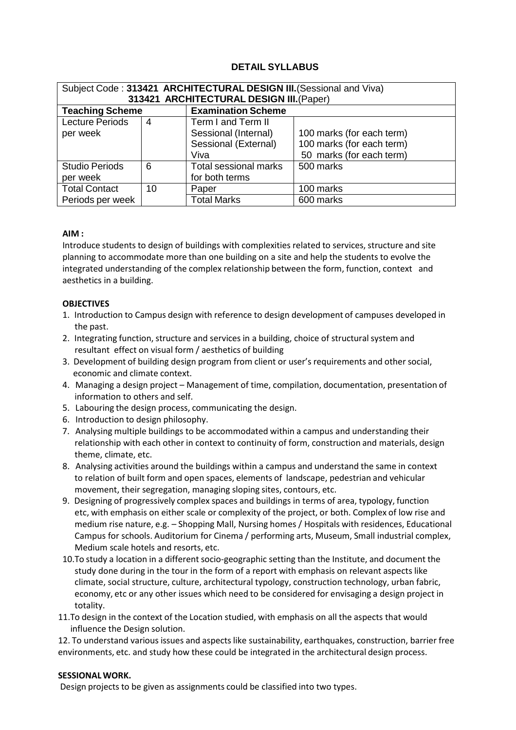## **DETAIL SYLLABUS**

| Subject Code: 313421 ARCHITECTURAL DESIGN III. (Sessional and Viva) |    |                                          |                           |  |  |
|---------------------------------------------------------------------|----|------------------------------------------|---------------------------|--|--|
|                                                                     |    | 313421 ARCHITECTURAL DESIGN III. (Paper) |                           |  |  |
| <b>Teaching Scheme</b>                                              |    | <b>Examination Scheme</b>                |                           |  |  |
| <b>Lecture Periods</b>                                              | 4  | Term I and Term II                       |                           |  |  |
| per week                                                            |    | Sessional (Internal)                     | 100 marks (for each term) |  |  |
|                                                                     |    | Sessional (External)                     | 100 marks (for each term) |  |  |
|                                                                     |    | Viva                                     | 50 marks (for each term)  |  |  |
| <b>Studio Periods</b>                                               | 6  | Total sessional marks                    | 500 marks                 |  |  |
| per week                                                            |    | for both terms                           |                           |  |  |
| <b>Total Contact</b>                                                | 10 | Paper                                    | 100 marks                 |  |  |
| Periods per week                                                    |    | <b>Total Marks</b>                       | 600 marks                 |  |  |

#### **AIM :**

Introduce students to design of buildings with complexities related to services, structure and site planning to accommodate more than one building on a site and help the students to evolve the integrated understanding of the complex relationship between the form, function, context and aesthetics in a building.

#### **OBJECTIVES**

- 1. Introduction to Campus design with reference to design development of campuses developed in the past.
- 2. Integrating function, structure and services in a building, choice of structural system and resultant effect on visual form / aesthetics of building
- 3. Development of building design program from client or user's requirements and other social, economic and climate context.
- 4. Managing a design project Management of time, compilation, documentation, presentation of information to others and self.
- 5. Labouring the design process, communicating the design.
- 6. Introduction to design philosophy.
- 7. Analysing multiple buildings to be accommodated within a campus and understanding their relationship with each other in context to continuity of form, construction and materials, design theme, climate, etc.
- 8. Analysing activities around the buildings within a campus and understand the same in context to relation of built form and open spaces, elements of landscape, pedestrian and vehicular movement, their segregation, managing sloping sites, contours, etc.
- 9. Designing of progressively complex spaces and buildings in terms of area, typology, function etc, with emphasis on either scale or complexity of the project, or both. Complex of low rise and medium rise nature, e.g. – Shopping Mall, Nursing homes / Hospitals with residences, Educational Campus for schools. Auditorium for Cinema / performing arts, Museum, Small industrial complex, Medium scale hotels and resorts, etc.
- 10.To study a location in a different socio‐geographic setting than the Institute, and document the study done during in the tour in the form of a report with emphasis on relevant aspects like climate, social structure, culture, architectural typology, construction technology, urban fabric, economy, etc or any other issues which need to be considered for envisaging a design project in totality.
- 11.To design in the context of the Location studied, with emphasis on all the aspects that would influence the Design solution.

12. To understand various issues and aspects like sustainability, earthquakes, construction, barrier free environments, etc. and study how these could be integrated in the architectural design process.

#### **SESSIONAL WORK.**

Design projects to be given as assignments could be classified into two types.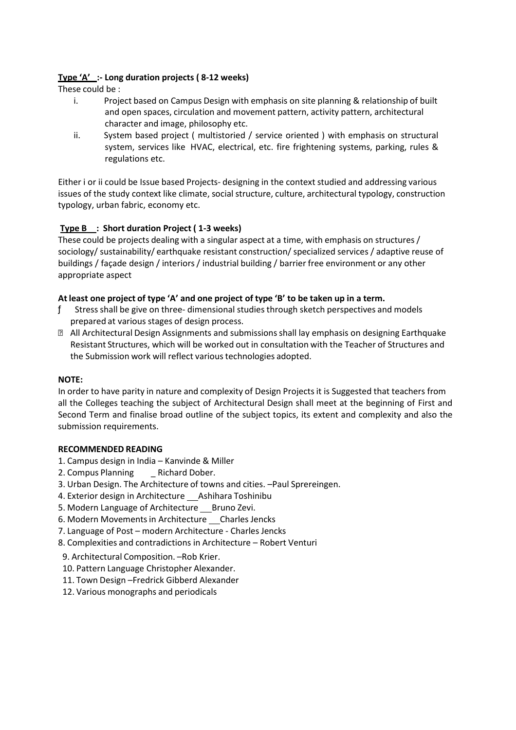## **Type 'A' :‐ Long duration projects ( 8‐12 weeks)**

These could be :

- i. Project based on Campus Design with emphasis on site planning & relationship of built and open spaces, circulation and movement pattern, activity pattern, architectural character and image, philosophy etc.
- ii. System based project ( multistoried / service oriented ) with emphasis on structural system, services like HVAC, electrical, etc. fire frightening systems, parking, rules & regulations etc.

Either i or ii could be Issue based Projects‐ designing in the context studied and addressing various issues of the study context like climate, social structure, culture, architectural typology, construction typology, urban fabric, economy etc.

## **Type B : Short duration Project ( 1‐3 weeks)**

These could be projects dealing with a singular aspect at a time, with emphasis on structures / sociology/ sustainability/ earthquake resistant construction/ specialized services / adaptive reuse of buildings / façade design / interiors / industrial building / barrier free environment or any other appropriate aspect

## **At least one project of type 'A' and one project of type 'B' to be taken up in a term.**

- ƒ Stress shall be give on three‐ dimensional studies through sketch perspectives and models prepared at various stages of design process.
- All Architectural Design Assignments and submissions shall lay emphasis on designing Earthquake Resistant Structures, which will be worked out in consultation with the Teacher of Structures and the Submission work will reflect various technologies adopted.

## **NOTE:**

In order to have parity in nature and complexity of Design Projects it is Suggested that teachers from all the Colleges teaching the subject of Architectural Design shall meet at the beginning of First and Second Term and finalise broad outline of the subject topics, its extent and complexity and also the submission requirements.

#### **RECOMMENDED READING**

- 1. Campus design in India Kanvinde & Miller
- 2. Compus Planning \_ Richard Dober.
- 3. Urban Design. The Architecture of towns and cities. –Paul Sprereingen.
- 4. Exterior design in Architecture Ashihara Toshinibu
- 5. Modern Language of Architecture Bruno Zevi.
- 6. Modern Movements in Architecture Charles Jencks
- 7. Language of Post modern Architecture ‐ Charles Jencks
- 8. Complexities and contradictions in Architecture Robert Venturi
- 9. Architectural Composition. –Rob Krier.
- 10. Pattern Language Christopher Alexander.
- 11. Town Design –Fredrick Gibberd Alexander
- 12. Various monographs and periodicals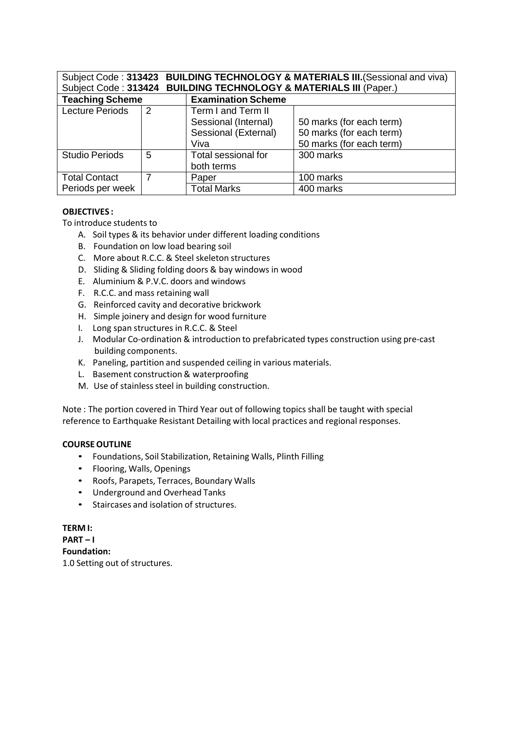| Subject Code: 313423<br>Subject Code: 313424 |   | <b>BUILDING TECHNOLOGY &amp; MATERIALS III (Paper.)</b> | <b>BUILDING TECHNOLOGY &amp; MATERIALS III. (Sessional and viva)</b> |
|----------------------------------------------|---|---------------------------------------------------------|----------------------------------------------------------------------|
| <b>Teaching Scheme</b>                       |   | <b>Examination Scheme</b>                               |                                                                      |
| <b>Lecture Periods</b>                       | 2 | Term I and Term II                                      |                                                                      |
|                                              |   | Sessional (Internal)                                    | 50 marks (for each term)                                             |
|                                              |   | Sessional (External)                                    | 50 marks (for each term)                                             |
|                                              |   | Viva                                                    | 50 marks (for each term)                                             |
| <b>Studio Periods</b>                        | 5 | Total sessional for                                     | 300 marks                                                            |
|                                              |   | both terms                                              |                                                                      |
| <b>Total Contact</b>                         |   | Paper                                                   | 100 marks                                                            |
| Periods per week                             |   | <b>Total Marks</b>                                      | 400 marks                                                            |

#### **OBJECTIVES :**

To introduce students to

- A. Soil types & its behavior under different loading conditions
- B. Foundation on low load bearing soil
- C. More about R.C.C. & Steel skeleton structures
- D. Sliding & Sliding folding doors & bay windows in wood
- E. Aluminium & P.V.C. doors and windows
- F. R.C.C. and mass retaining wall
- G. Reinforced cavity and decorative brickwork
- H. Simple joinery and design for wood furniture
- I. Long span structures in R.C.C. & Steel
- J. Modular Co-ordination & introduction to prefabricated types construction using pre-cast building components.
- K. Paneling, partition and suspended ceiling in various materials.
- L. Basement construction & waterproofing
- M. Use of stainless steel in building construction.

Note : The portion covered in Third Year out of following topics shall be taught with special reference to Earthquake Resistant Detailing with local practices and regional responses.

#### **COURSE OUTLINE**

- Foundations, Soil Stabilization, Retaining Walls, Plinth Filling
- Flooring, Walls, Openings
- Roofs, Parapets, Terraces, Boundary Walls
- Underground and Overhead Tanks
- Staircases and isolation of structures.

#### **TERM I:**

**PART – I Foundation:** 1.0 Setting out of structures.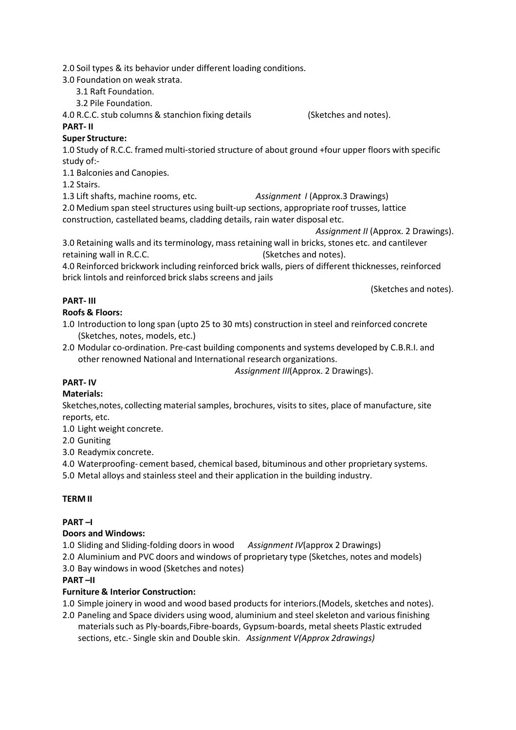2.0 Soil types & its behavior under different loading conditions.

3.0 Foundation on weak strata.

3.1 Raft Foundation.

3.2 Pile Foundation.

4.0 R.C.C. stub columns & stanchion fixing details (Sketches and notes).

#### **PART‐ II**

## **Super Structure:**

1.0 Study of R.C.C. framed multi‐storied structure of about ground +four upper floors with specific study of:‐

1.1 Balconies and Canopies.

1.2 Stairs.

1.3 Lift shafts, machine rooms, etc. *Assignment I* (Approx.3 Drawings)

2.0 Medium span steel structures using built‐up sections, appropriate roof trusses, lattice construction, castellated beams, cladding details, rain water disposal etc.

*Assignment II* (Approx. 2 Drawings).

3.0 Retaining walls and its terminology, mass retaining wall in bricks, stones etc. and cantilever retaining wall in R.C.C. (Sketches and notes).

4.0 Reinforced brickwork including reinforced brick walls, piers of different thicknesses, reinforced brick lintols and reinforced brick slabs screens and jails

(Sketches and notes).

## **PART‐ III**

## **Roofs & Floors:**

1.0 Introduction to long span (upto 25 to 30 mts) construction in steel and reinforced concrete (Sketches, notes, models, etc.)

2.0 Modular co-ordination. Pre-cast building components and systems developed by C.B.R.I. and other renowned National and International research organizations.

*Assignment III*(Approx. 2 Drawings).

## **PART‐ IV**

## **Materials:**

Sketches,notes, collecting material samples, brochures, visits to sites, place of manufacture, site reports, etc.

1.0 Light weight concrete.

2.0 Guniting

3.0 Readymix concrete.

4.0 Waterproofing‐ cement based, chemical based, bituminous and other proprietary systems.

5.0 Metal alloys and stainless steel and their application in the building industry.

## **TERM II**

## **PART –I**

## **Doors and Windows:**

1.0 Sliding and Sliding‐folding doors in wood *Assignment IV*(approx 2 Drawings)

2.0 Aluminium and PVC doors and windows of proprietary type (Sketches, notes and models)

3.0 Bay windows in wood (Sketches and notes)

## **PART –II**

## **Furniture & Interior Construction:**

1.0 Simple joinery in wood and wood based products for interiors.(Models, sketches and notes).

2.0 Paneling and Space dividers using wood, aluminium and steel skeleton and various finishing materials such as Ply‐boards,Fibre‐boards, Gypsum‐boards, metal sheets Plastic extruded sections, etc.‐ Single skin and Double skin. *Assignment V(Approx 2drawings)*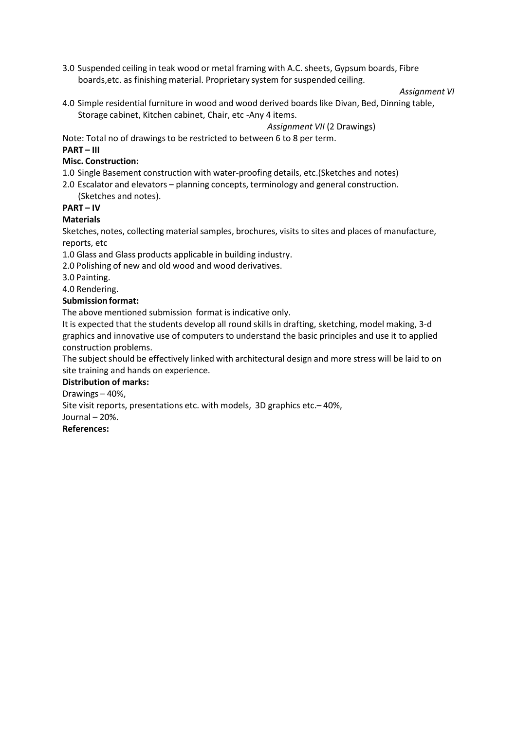3.0 Suspended ceiling in teak wood or metal framing with A.C. sheets, Gypsum boards, Fibre boards,etc. as finishing material. Proprietary system for suspended ceiling.

#### *Assignment VI*

4.0 Simple residential furniture in wood and wood derived boards like Divan, Bed, Dinning table, Storage cabinet, Kitchen cabinet, Chair, etc ‐Any 4 items.

*Assignment VII* (2 Drawings)

Note: Total no of drawings to be restricted to between 6 to 8 per term.

#### **PART – III**

#### **Misc. Construction:**

1.0 Single Basement construction with water‐proofing details, etc.(Sketches and notes)

2.0 Escalator and elevators – planning concepts, terminology and general construction. (Sketches and notes).

## **PART – IV**

#### **Materials**

Sketches, notes, collecting material samples, brochures, visits to sites and places of manufacture, reports, etc

1.0 Glass and Glass products applicable in building industry.

2.0 Polishing of new and old wood and wood derivatives.

3.0 Painting.

4.0 Rendering.

#### **Submission format:**

The above mentioned submission format is indicative only.

It is expected that the students develop all round skills in drafting, sketching, model making, 3‐d graphics and innovative use of computers to understand the basic principles and use it to applied construction problems.

The subject should be effectively linked with architectural design and more stress will be laid to on site training and hands on experience.

#### **Distribution of marks:**

Drawings – 40%,

Site visit reports, presentations etc. with models, 3D graphics etc.– 40%,

Journal – 20%.

#### **References:**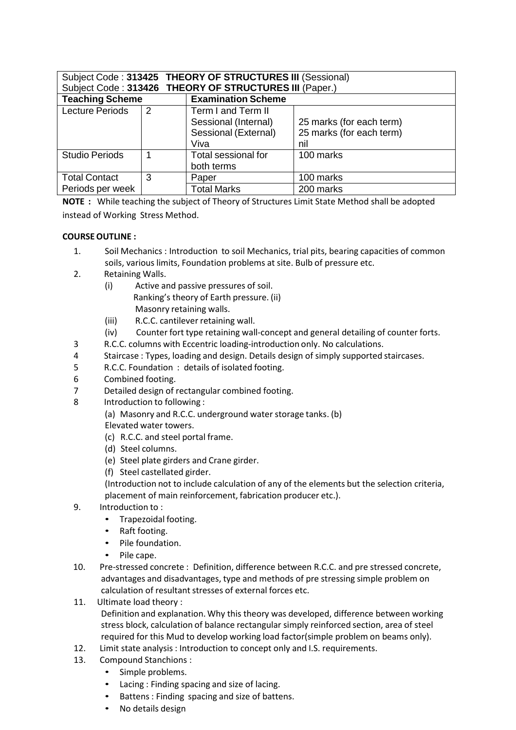| Subject Code: 313425 THEORY OF STRUCTURES III (Sessional)<br>Subject Code: 313426 THEORY OF STRUCTURES III (Paper.) |               |                                                                            |                                                             |
|---------------------------------------------------------------------------------------------------------------------|---------------|----------------------------------------------------------------------------|-------------------------------------------------------------|
| <b>Teaching Scheme</b>                                                                                              |               | <b>Examination Scheme</b>                                                  |                                                             |
| <b>Lecture Periods</b>                                                                                              | $\mathcal{P}$ | Term I and Term II<br>Sessional (Internal)<br>Sessional (External)<br>Viva | 25 marks (for each term)<br>25 marks (for each term)<br>nil |
| <b>Studio Periods</b>                                                                                               |               | Total sessional for<br>both terms                                          | 100 marks                                                   |
| <b>Total Contact</b>                                                                                                | 3             | Paper                                                                      | 100 marks                                                   |
| Periods per week                                                                                                    |               | <b>Total Marks</b>                                                         | 200 marks                                                   |

**NOTE :** While teaching the subject of Theory of Structures Limit State Method shall be adopted instead of Working Stress Method.

## **COURSE OUTLINE :**

- 1. Soil Mechanics : Introduction to soil Mechanics, trial pits, bearing capacities of common soils, various limits, Foundation problems at site. Bulb of pressure etc.
- 2. Retaining Walls.
	- (i) Active and passive pressures of soil. Ranking's theory of Earth pressure. (ii) Masonry retaining walls.
	- (iii) R.C.C. cantilever retaining wall.
	- (iv) Counter fort type retaining wall‐concept and general detailing of counter forts.
- 3 R.C.C. columns with Eccentric loading‐introduction only. No calculations.
- 4 Staircase : Types, loading and design. Details design of simply supported staircases.
- 5 R.C.C. Foundation : details of isolated footing.
- 6 Combined footing.
- 7 Detailed design of rectangular combined footing.
- 8 Introduction to following :
	- (a) Masonry and R.C.C. underground water storage tanks. (b)
	- Elevated water towers.
	- (c) R.C.C. and steel portal frame.
	- (d) Steel columns.
	- (e) Steel plate girders and Crane girder.
	- (f) Steel castellated girder.

(Introduction not to include calculation of any of the elements but the selection criteria, placement of main reinforcement, fabrication producer etc.).

- 9. Introduction to :
	- Trapezoidal footing.
	- Raft footing.
	- Pile foundation.
	- Pile cape.
- 10. Pre-stressed concrete : Definition, difference between R.C.C. and pre stressed concrete, advantages and disadvantages, type and methods of pre stressing simple problem on calculation of resultant stresses of external forces etc.
- 11. Ultimate load theory :

Definition and explanation. Why this theory was developed, difference between working stress block, calculation of balance rectangular simply reinforced section, area of steel required for this Mud to develop working load factor(simple problem on beams only).

- 12. Limit state analysis : Introduction to concept only and I.S. requirements.
- 13. Compound Stanchions :
	- Simple problems.
	- Lacing : Finding spacing and size of lacing.
	- Battens : Finding spacing and size of battens.
	- No details design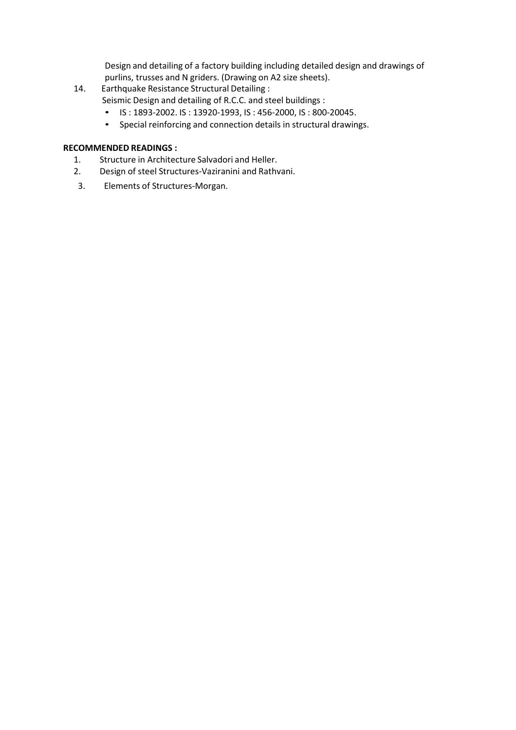Design and detailing of a factory building including detailed design and drawings of purlins, trusses and N griders. (Drawing on A2 size sheets).

- 14. Earthquake Resistance Structural Detailing : Seismic Design and detailing of R.C.C. and steel buildings :
	- IS : 1893‐2002. IS : 13920‐1993, IS : 456‐2000, IS : 800‐20045.
	- Special reinforcing and connection details in structural drawings.

## **RECOMMENDED READINGS :**

- 1. Structure in Architecture Salvadori and Heller.
- 2. Design of steel Structures‐Vaziranini and Rathvani.
- 3. Elements of Structures‐Morgan.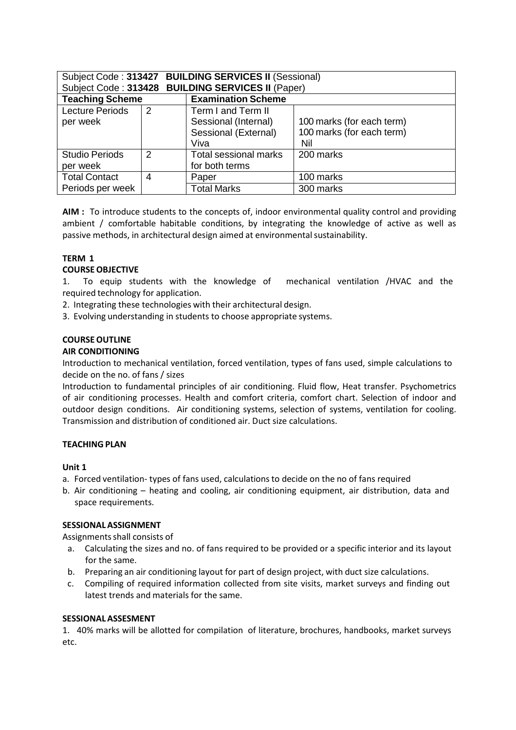| <b>BUILDING SERVICES II (Sessional)</b><br>Subject Code: 313427 |   |                                     |                           |  |  |
|-----------------------------------------------------------------|---|-------------------------------------|---------------------------|--|--|
| Subject Code: 313428                                            |   | <b>BUILDING SERVICES II (Paper)</b> |                           |  |  |
| <b>Teaching Scheme</b>                                          |   | <b>Examination Scheme</b>           |                           |  |  |
| <b>Lecture Periods</b>                                          | 2 | Term I and Term II                  |                           |  |  |
| per week                                                        |   | Sessional (Internal)                | 100 marks (for each term) |  |  |
|                                                                 |   | Sessional (External)                | 100 marks (for each term) |  |  |
|                                                                 |   | Viva                                | Nil                       |  |  |
| <b>Studio Periods</b>                                           | 2 | <b>Total sessional marks</b>        | 200 marks                 |  |  |
| per week                                                        |   | for both terms                      |                           |  |  |
| <b>Total Contact</b>                                            | 4 | Paper                               | 100 marks                 |  |  |
| Periods per week                                                |   | <b>Total Marks</b>                  | 300 marks                 |  |  |

**AIM :** To introduce students to the concepts of, indoor environmental quality control and providing ambient / comfortable habitable conditions, by integrating the knowledge of active as well as passive methods, in architectural design aimed at environmental sustainability.

## **TERM 1**

## **COURSE OBJECTIVE**

1. To equip students with the knowledge of mechanical ventilation /HVAC and the required technology for application.

- 2. Integrating these technologies with their architectural design.
- 3. Evolving understanding in students to choose appropriate systems.

## **COURSE OUTLINE**

#### **AIR CONDITIONING**

Introduction to mechanical ventilation, forced ventilation, types of fans used, simple calculations to decide on the no. of fans / sizes

Introduction to fundamental principles of air conditioning. Fluid flow, Heat transfer. Psychometrics of air conditioning processes. Health and comfort criteria, comfort chart. Selection of indoor and outdoor design conditions. Air conditioning systems, selection of systems, ventilation for cooling. Transmission and distribution of conditioned air. Duct size calculations.

## **TEACHING PLAN**

#### **Unit 1**

- a. Forced ventilation‐ types of fans used, calculations to decide on the no of fans required
- b. Air conditioning heating and cooling, air conditioning equipment, air distribution, data and space requirements.

#### **SESSIONAL ASSIGNMENT**

Assignments shall consists of

- a. Calculating the sizes and no. of fans required to be provided or a specific interior and its layout for the same.
- b. Preparing an air conditioning layout for part of design project, with duct size calculations.
- c. Compiling of required information collected from site visits, market surveys and finding out latest trends and materials for the same.

#### **SESSIONAL ASSESMENT**

1. 40% marks will be allotted for compilation of literature, brochures, handbooks, market surveys etc.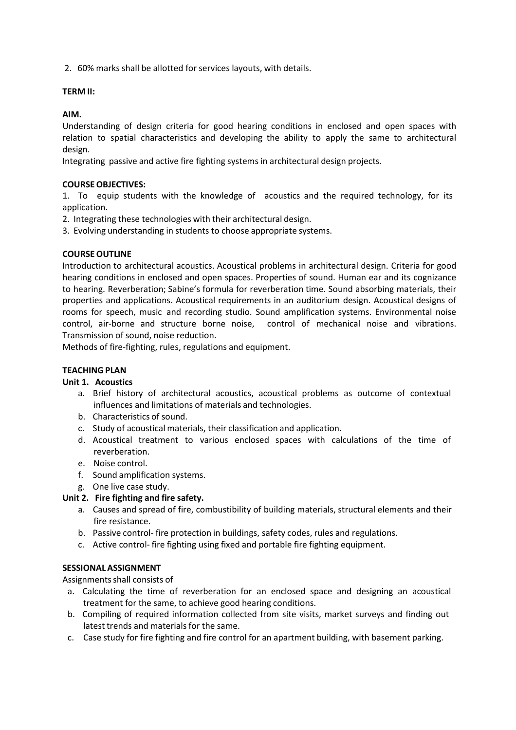2. 60% marks shall be allotted for services layouts, with details.

#### **TERM II:**

**AIM.**

Understanding of design criteria for good hearing conditions in enclosed and open spaces with relation to spatial characteristics and developing the ability to apply the same to architectural design.

Integrating passive and active fire fighting systems in architectural design projects.

#### **COURSE OBJECTIVES:**

1. To equip students with the knowledge of acoustics and the required technology, for its application.

2. Integrating these technologies with their architectural design.

3. Evolving understanding in students to choose appropriate systems.

#### **COURSE OUTLINE**

Introduction to architectural acoustics. Acoustical problems in architectural design. Criteria for good hearing conditions in enclosed and open spaces. Properties of sound. Human ear and its cognizance to hearing. Reverberation; Sabine's formula for reverberation time. Sound absorbing materials, their properties and applications. Acoustical requirements in an auditorium design. Acoustical designs of rooms for speech, music and recording studio. Sound amplification systems. Environmental noise control, air‐borne and structure borne noise, control of mechanical noise and vibrations. Transmission of sound, noise reduction.

Methods of fire‐fighting, rules, regulations and equipment.

#### **TEACHING PLAN**

#### **Unit 1. Acoustics**

- a. Brief history of architectural acoustics, acoustical problems as outcome of contextual influences and limitations of materials and technologies.
- b. Characteristics of sound.
- c. Study of acoustical materials, their classification and application.
- d. Acoustical treatment to various enclosed spaces with calculations of the time of reverberation.
- e. Noise control.
- f. Sound amplification systems.
- g. One live case study.

#### **Unit 2. Fire fighting and fire safety.**

- a. Causes and spread of fire, combustibility of building materials, structural elements and their fire resistance.
- b. Passive control‐ fire protection in buildings, safety codes, rules and regulations.
- c. Active control‐ fire fighting using fixed and portable fire fighting equipment.

#### **SESSIONAL ASSIGNMENT**

Assignments shall consists of

- a. Calculating the time of reverberation for an enclosed space and designing an acoustical treatment for the same, to achieve good hearing conditions.
- b. Compiling of required information collected from site visits, market surveys and finding out latest trends and materials for the same.
- c. Case study for fire fighting and fire control for an apartment building, with basement parking.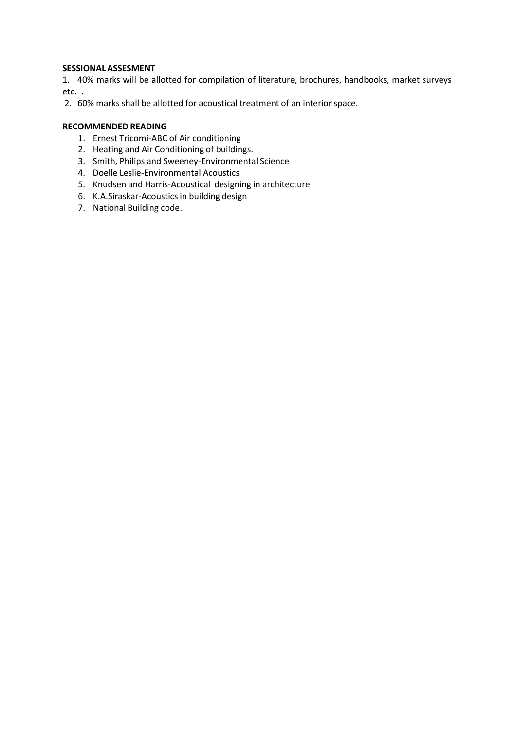#### **SESSIONAL ASSESMENT**

1. 40% marks will be allotted for compilation of literature, brochures, handbooks, market surveys etc. .

2. 60% marks shall be allotted for acoustical treatment of an interior space.

## **RECOMMENDED READING**

- 1. Ernest Tricomi‐ABC of Air conditioning
- 2. Heating and Air Conditioning of buildings.
- 3. Smith, Philips and Sweeney‐Environmental Science
- 4. Doelle Leslie‐Environmental Acoustics
- 5. Knudsen and Harris‐Acoustical designing in architecture
- 6. K.A.Siraskar‐Acoustics in building design
- 7. National Building code.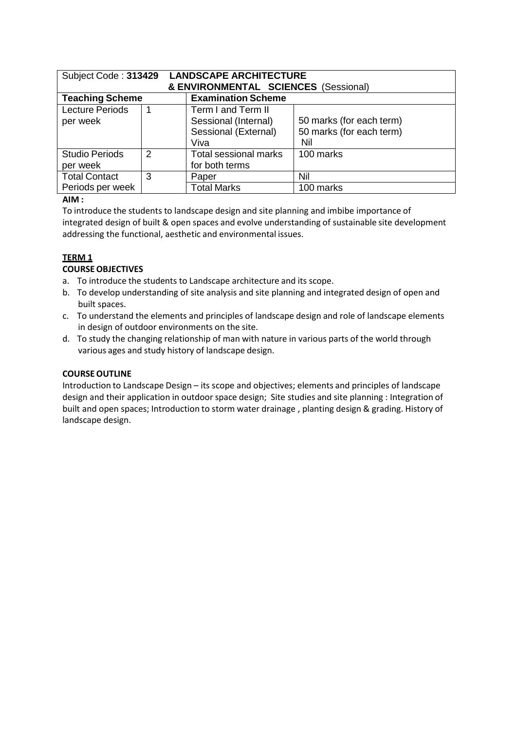| Subject Code: 313429   |                                      | <b>LANDSCAPE ARCHITECTURE</b> |                          |  |  |  |  |
|------------------------|--------------------------------------|-------------------------------|--------------------------|--|--|--|--|
|                        | & ENVIRONMENTAL SCIENCES (Sessional) |                               |                          |  |  |  |  |
| <b>Teaching Scheme</b> |                                      | <b>Examination Scheme</b>     |                          |  |  |  |  |
| <b>Lecture Periods</b> |                                      | Term I and Term II            |                          |  |  |  |  |
| per week               |                                      | Sessional (Internal)          | 50 marks (for each term) |  |  |  |  |
|                        |                                      | Sessional (External)          | 50 marks (for each term) |  |  |  |  |
|                        |                                      | Viva                          | Nil                      |  |  |  |  |
| <b>Studio Periods</b>  | $\mathcal{P}$                        | <b>Total sessional marks</b>  | 100 marks                |  |  |  |  |
| per week               |                                      | for both terms                |                          |  |  |  |  |
| <b>Total Contact</b>   | 3                                    | Paper                         | Nil                      |  |  |  |  |
| Periods per week       |                                      | <b>Total Marks</b>            | 100 marks                |  |  |  |  |

## **AIM :**

To introduce the students to landscape design and site planning and imbibe importance of integrated design of built & open spaces and evolve understanding of sustainable site development addressing the functional, aesthetic and environmental issues.

## **TERM 1**

#### **COURSE OBJECTIVES**

- a. To introduce the students to Landscape architecture and its scope.
- b. To develop understanding of site analysis and site planning and integrated design of open and built spaces.
- c. To understand the elements and principles of landscape design and role of landscape elements in design of outdoor environments on the site.
- d. To study the changing relationship of man with nature in various parts of the world through various ages and study history of landscape design.

## **COURSE OUTLINE**

Introduction to Landscape Design – its scope and objectives; elements and principles of landscape design and their application in outdoor space design; Site studies and site planning : Integration of built and open spaces; Introduction to storm water drainage , planting design & grading. History of landscape design.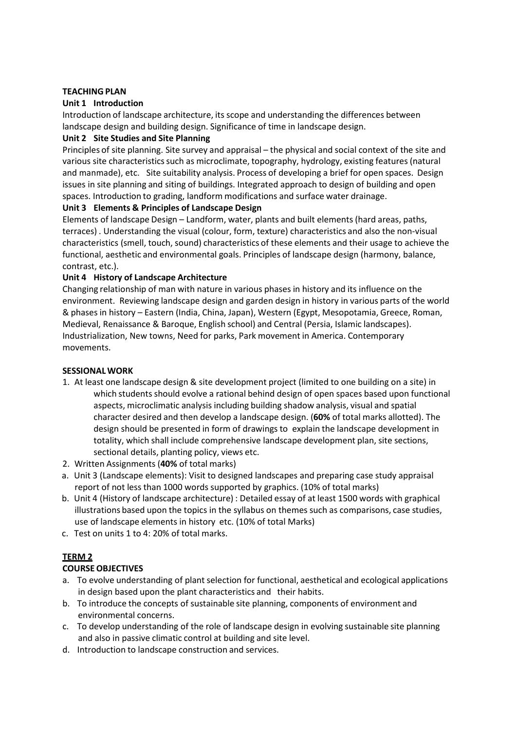#### **TEACHING PLAN**

#### **Unit 1 Introduction**

Introduction of landscape architecture, its scope and understanding the differences between landscape design and building design. Significance of time in landscape design.

#### **Unit 2 Site Studies and Site Planning**

Principles of site planning. Site survey and appraisal – the physical and social context of the site and various site characteristics such as microclimate, topography, hydrology, existing features (natural and manmade), etc. Site suitability analysis. Process of developing a brief for open spaces. Design issues in site planning and siting of buildings. Integrated approach to design of building and open spaces. Introduction to grading, landform modifications and surface water drainage.

#### **Unit 3 Elements & Principles of Landscape Design**

Elements of landscape Design – Landform, water, plants and built elements (hard areas, paths, terraces) . Understanding the visual (colour, form, texture) characteristics and also the non‐visual characteristics (smell, touch, sound) characteristics of these elements and their usage to achieve the functional, aesthetic and environmental goals. Principles of landscape design (harmony, balance, contrast, etc.).

#### **Unit 4 History of Landscape Architecture**

Changing relationship of man with nature in various phases in history and its influence on the environment. Reviewing landscape design and garden design in history in various parts of the world & phases in history – Eastern (India, China, Japan), Western (Egypt, Mesopotamia, Greece, Roman, Medieval, Renaissance & Baroque, English school) and Central (Persia, Islamic landscapes). Industrialization, New towns, Need for parks, Park movement in America. Contemporary movements.

#### **SESSIONAL WORK**

- 1. At least one landscape design & site development project (limited to one building on a site) in which students should evolve a rational behind design of open spaces based upon functional aspects, microclimatic analysis including building shadow analysis, visual and spatial character desired and then develop a landscape design. (**60%** of total marks allotted). The design should be presented in form of drawings to explain the landscape development in totality, which shall include comprehensive landscape development plan, site sections, sectional details, planting policy, views etc.
- 2. Written Assignments (**40%** of total marks)
- a. Unit 3 (Landscape elements): Visit to designed landscapes and preparing case study appraisal report of not less than 1000 words supported by graphics. (10% of total marks)
- b. Unit 4 (History of landscape architecture) : Detailed essay of at least 1500 words with graphical illustrations based upon the topics in the syllabus on themes such as comparisons, case studies, use of landscape elements in history etc. (10% of total Marks)
- c. Test on units 1 to 4: 20% of total marks.

## **TERM 2**

## **COURSE OBJECTIVES**

- a. To evolve understanding of plant selection for functional, aesthetical and ecological applications in design based upon the plant characteristics and their habits.
- b. To introduce the concepts of sustainable site planning, components of environment and environmental concerns.
- c. To develop understanding of the role of landscape design in evolving sustainable site planning and also in passive climatic control at building and site level.
- d. Introduction to landscape construction and services.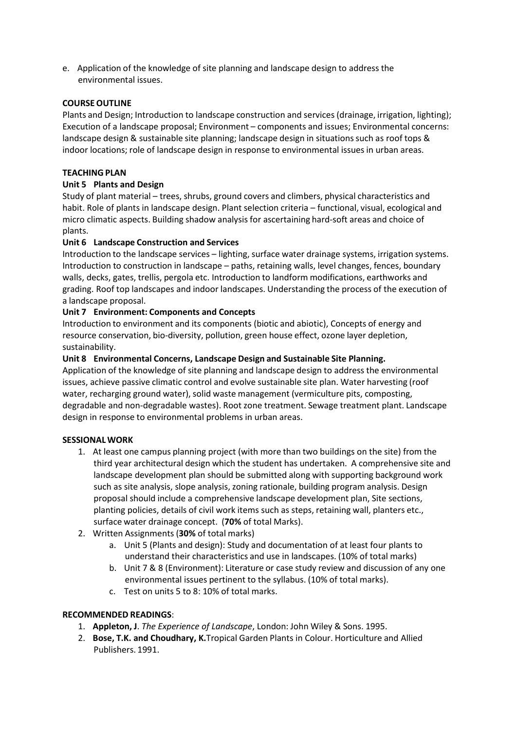e. Application of the knowledge of site planning and landscape design to address the environmental issues.

#### **COURSE OUTLINE**

Plants and Design; Introduction to landscape construction and services (drainage, irrigation, lighting); Execution of a landscape proposal; Environment – components and issues; Environmental concerns: landscape design & sustainable site planning; landscape design in situations such as roof tops & indoor locations; role of landscape design in response to environmental issues in urban areas.

#### **TEACHING PLAN**

#### **Unit 5 Plants and Design**

Study of plant material – trees, shrubs, ground covers and climbers, physical characteristics and habit. Role of plants in landscape design. Plant selection criteria – functional, visual, ecological and micro climatic aspects. Building shadow analysis for ascertaining hard‐soft areas and choice of plants.

#### **Unit 6 Landscape Construction and Services**

Introduction to the landscape services – lighting, surface water drainage systems, irrigation systems. Introduction to construction in landscape – paths, retaining walls, level changes, fences, boundary walls, decks, gates, trellis, pergola etc. Introduction to landform modifications, earthworks and grading. Roof top landscapes and indoor landscapes. Understanding the process of the execution of a landscape proposal.

#### **Unit 7 Environment: Components and Concepts**

Introduction to environment and its components (biotic and abiotic), Concepts of energy and resource conservation, bio‐diversity, pollution, green house effect, ozone layer depletion, sustainability.

#### **Unit 8 Environmental Concerns, Landscape Design and Sustainable Site Planning.**

Application of the knowledge of site planning and landscape design to address the environmental issues, achieve passive climatic control and evolve sustainable site plan. Water harvesting (roof water, recharging ground water), solid waste management (vermiculture pits, composting, degradable and non‐degradable wastes). Root zone treatment. Sewage treatment plant. Landscape design in response to environmental problems in urban areas.

#### **SESSIONAL WORK**

- 1. At least one campus planning project (with more than two buildings on the site) from the third year architectural design which the student has undertaken. A comprehensive site and landscape development plan should be submitted along with supporting background work such as site analysis, slope analysis, zoning rationale, building program analysis. Design proposal should include a comprehensive landscape development plan, Site sections, planting policies, details of civil work items such as steps, retaining wall, planters etc., surface water drainage concept. (**70%** of total Marks).
- 2. Written Assignments (**30%** of total marks)
	- a. Unit 5 (Plants and design): Study and documentation of at least four plants to understand their characteristics and use in landscapes. (10% of total marks)
	- b. Unit 7 & 8 (Environment): Literature or case study review and discussion of any one environmental issues pertinent to the syllabus. (10% of total marks).
	- c. Test on units 5 to 8: 10% of total marks.

#### **RECOMMENDED READINGS**:

- 1. **Appleton, J**. *The Experience of Landscape*, London: John Wiley & Sons. 1995.
- 2. **Bose, T.K. and Choudhary, K.**Tropical Garden Plants in Colour. Horticulture and Allied Publishers. 1991.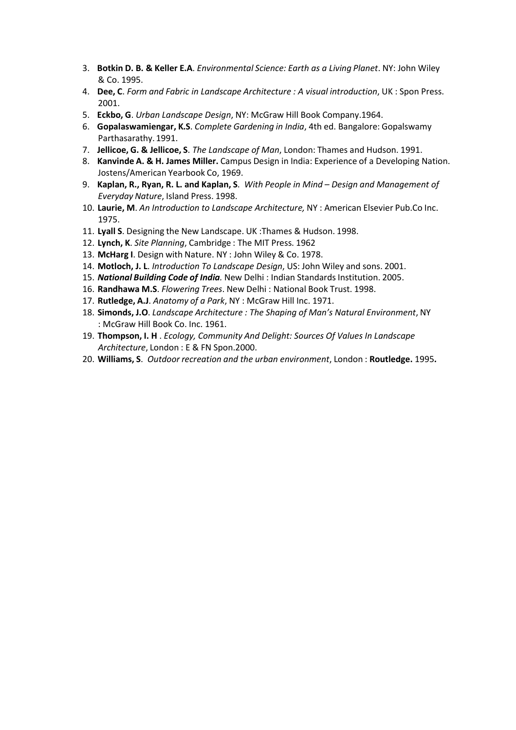- 3. **Botkin D. B. & Keller E.A**. *Environmental Science: Earth as a Living Planet*. NY: John Wiley & Co. 1995.
- 4. **Dee, C**. *Form and Fabric in Landscape Architecture : A visual introduction*, UK : Spon Press. 2001.
- 5. **Eckbo, G**. *Urban Landscape Design*, NY: McGraw Hill Book Company.1964.
- 6. **Gopalaswamiengar, K.S**. *Complete Gardening in India*, 4th ed. Bangalore: Gopalswamy Parthasarathy. 1991.
- 7. **Jellicoe, G. & Jellicoe, S**. *The Landscape of Man*, London: Thames and Hudson. 1991.
- 8. **Kanvinde A. & H. James Miller.** Campus Design in India: Experience of a Developing Nation. Jostens/American Yearbook Co, 1969.
- 9. **Kaplan, R., Ryan, R. L. and Kaplan, S**. *With People in Mind Design and Management of Everyday Nature*, Island Press. 1998.
- 10. **Laurie, M**. *An Introduction to Landscape Architecture,* NY : American Elsevier Pub.Co Inc. 1975.
- 11. **Lyall S**. Designing the New Landscape. UK :Thames & Hudson. 1998.
- 12. **Lynch, K**. *Site Planning*, Cambridge : The MIT Press. 1962
- 13. **McHarg I**. Design with Nature. NY : John Wiley & Co. 1978.
- 14. **Motloch, J. L**. *Introduction To Landscape Design*, US: John Wiley and sons. 2001.
- 15. *National Building Code of India.* New Delhi : Indian Standards Institution. 2005.
- 16. **Randhawa M.S**. *Flowering Trees*. New Delhi : National Book Trust. 1998.
- 17. **Rutledge, A.J**. *Anatomy of a Park*, NY : McGraw Hill Inc. 1971.
- 18. **Simonds, J.O**. *Landscape Architecture : The Shaping of Man's Natural Environment*, NY : McGraw Hill Book Co. Inc. 1961.
- 19. **Thompson, I. H** . *Ecology, Community And Delight: Sources Of Values In Landscape Architecture*, London : E & FN Spon.2000.
- 20. **Williams, S**. *Outdoor recreation and the urban environment*, London : **Routledge.** 1995**.**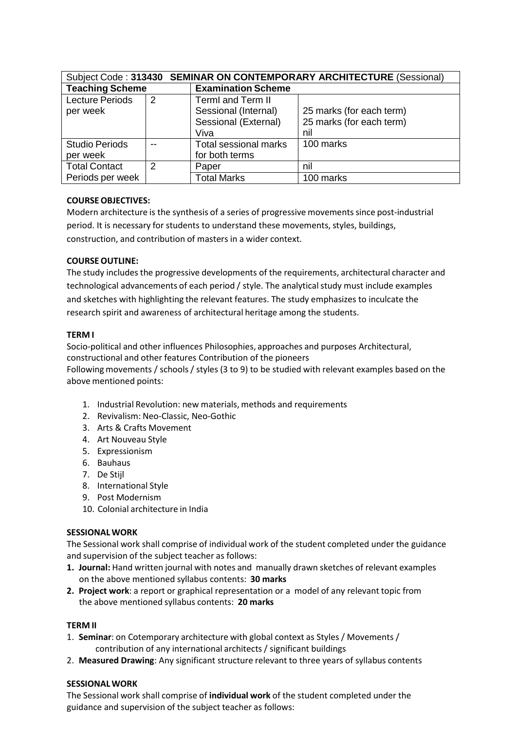| Subject Code: 313430 SEMINAR ON CONTEMPORARY ARCHITECTURE (Sessional) |   |                           |                          |  |  |
|-----------------------------------------------------------------------|---|---------------------------|--------------------------|--|--|
| <b>Teaching Scheme</b>                                                |   | <b>Examination Scheme</b> |                          |  |  |
| <b>Lecture Periods</b>                                                | 2 | <b>TermI and Term II</b>  |                          |  |  |
| per week                                                              |   | Sessional (Internal)      | 25 marks (for each term) |  |  |
|                                                                       |   | Sessional (External)      | 25 marks (for each term) |  |  |
|                                                                       |   | Viva                      | nil                      |  |  |
| <b>Studio Periods</b>                                                 |   | Total sessional marks     | 100 marks                |  |  |
| per week                                                              |   | for both terms            |                          |  |  |
| <b>Total Contact</b>                                                  | 2 | Paper                     | nil                      |  |  |
| Periods per week                                                      |   | <b>Total Marks</b>        | 100 marks                |  |  |

## **COURSE OBJECTIVES:**

Modern architecture is the synthesis of a series of progressive movements since post-industrial period. It is necessary for students to understand these movements, styles, buildings, construction, and contribution of masters in a wider context.

#### **COURSE OUTLINE:**

The study includes the progressive developments of the requirements, architectural character and technological advancements of each period / style. The analytical study must include examples and sketches with highlighting the relevant features. The study emphasizes to inculcate the research spirit and awareness of architectural heritage among the students.

#### **TERM I**

Socio‐political and other influences Philosophies, approaches and purposes Architectural, constructional and other features Contribution of the pioneers

Following movements / schools / styles (3 to 9) to be studied with relevant examples based on the above mentioned points:

- 1. Industrial Revolution: new materials, methods and requirements
- 2. Revivalism: Neo‐Classic, Neo‐Gothic
- 3. Arts & Crafts Movement
- 4. Art Nouveau Style
- 5. Expressionism
- 6. Bauhaus
- 7. De Stijl
- 8. International Style
- 9. Post Modernism
- 10. Colonial architecture in India

#### **SESSIONAL WORK**

The Sessional work shall comprise of individual work of the student completed under the guidance and supervision of the subject teacher as follows:

- **1. Journal:** Hand written journal with notes and manually drawn sketches of relevant examples on the above mentioned syllabus contents: **30 marks**
- **2. Project work**: a report or graphical representation or a model of any relevant topic from the above mentioned syllabus contents: **20 marks**

#### **TERM II**

- 1. **Seminar**: on Cotemporary architecture with global context as Styles / Movements / contribution of any international architects / significant buildings
- 2. **Measured Drawing**: Any significant structure relevant to three years of syllabus contents

#### **SESSIONAL WORK**

The Sessional work shall comprise of **individual work** of the student completed under the guidance and supervision of the subject teacher as follows: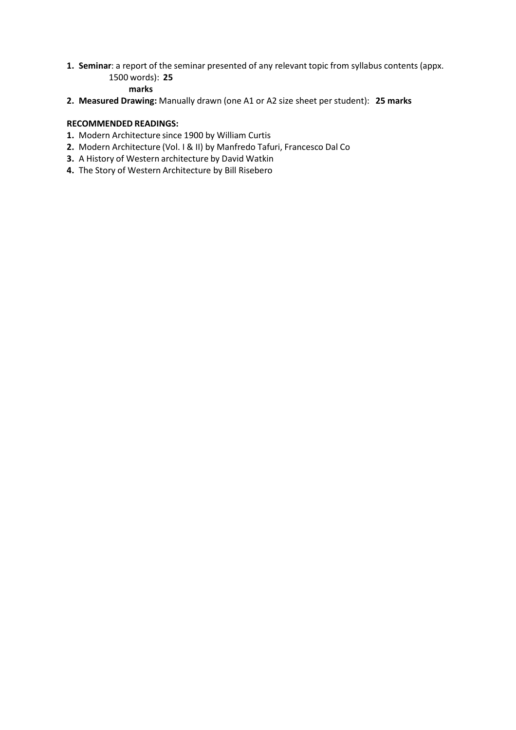**1. Seminar**: a report of the seminar presented of any relevant topic from syllabus contents (appx. 1500 words): **25** 

## **marks**

**2. Measured Drawing:** Manually drawn (one A1 or A2 size sheet per student): **25 marks**

## **RECOMMENDED READINGS:**

- **1.** Modern Architecture since 1900 by William Curtis
- **2.** Modern Architecture (Vol. I & II) by Manfredo Tafuri, Francesco Dal Co
- **3.** A History of Western architecture by David Watkin
- **4.** The Story of Western Architecture by Bill Risebero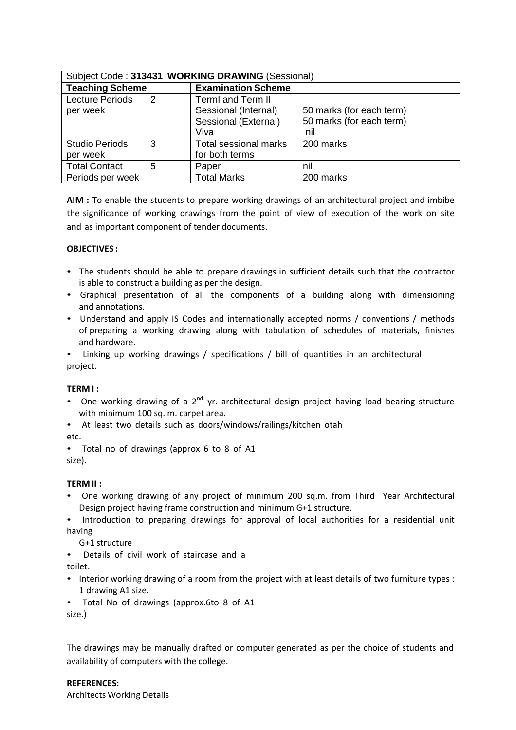| Subject Code: 313431 WORKING DRAWING (Sessional) |   |                           |                          |  |  |
|--------------------------------------------------|---|---------------------------|--------------------------|--|--|
| <b>Teaching Scheme</b>                           |   | <b>Examination Scheme</b> |                          |  |  |
| <b>Lecture Periods</b>                           | 2 | <b>TermI</b> and Term II  |                          |  |  |
| per week                                         |   | Sessional (Internal)      | 50 marks (for each term) |  |  |
|                                                  |   | Sessional (External)      | 50 marks (for each term) |  |  |
|                                                  |   | Viva                      | nil                      |  |  |
| <b>Studio Periods</b>                            | 3 | Total sessional marks     | 200 marks                |  |  |
| per week                                         |   | for both terms            |                          |  |  |
| <b>Total Contact</b>                             | 5 | Paper                     | nil                      |  |  |
| Periods per week                                 |   | <b>Total Marks</b>        | 200 marks                |  |  |

**AIM :** To enable the students to prepare working drawings of an architectural project and imbibe the significance of working drawings from the point of view of execution of the work on site and as important component of tender documents.

#### **OBJECTIVES :**

- The students should be able to prepare drawings in sufficient details such that the contractor is able to construct a building as per the design.
- Graphical presentation of all the components of a building along with dimensioning and annotations.
- Understand and apply IS Codes and internationally accepted norms / conventions / methods of preparing a working drawing along with tabulation of schedules of materials, finishes and hardware.

• Linking up working drawings / specifications / bill of quantities in an architectural project.

#### **TERM I :**

- One working drawing of a  $2^{nd}$  yr. architectural design project having load bearing structure with minimum 100 sq. m. carpet area.
- At least two details such as doors/windows/railings/kitchen otah

etc.

• Total no of drawings (approx 6 to 8 of A1

size).

## **TERM II :**

- One working drawing of any project of minimum 200 sq.m. from Third Year Architectural Design project having frame construction and minimum G+1 structure.
- Introduction to preparing drawings for approval of local authorities for a residential unit having

G+1 structure

• Details of civil work of staircase and a

toilet.

- Interior working drawing of a room from the project with at least details of two furniture types : 1 drawing A1 size.
- Total No of drawings (approx.6to 8 of A1

size.)

The drawings may be manually drafted or computer generated as per the choice of students and availability of computers with the college.

## **REFERENCES:**

Architects Working Details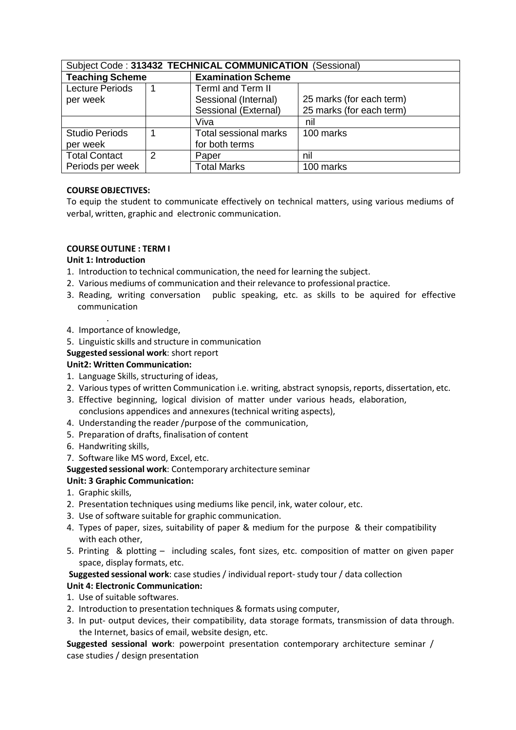| Subject Code: 313432 TECHNICAL COMMUNICATION (Sessional) |   |                           |                          |  |  |
|----------------------------------------------------------|---|---------------------------|--------------------------|--|--|
| <b>Teaching Scheme</b>                                   |   | <b>Examination Scheme</b> |                          |  |  |
| <b>Lecture Periods</b>                                   |   | <b>TermI and Term II</b>  |                          |  |  |
| per week                                                 |   | Sessional (Internal)      | 25 marks (for each term) |  |  |
|                                                          |   | Sessional (External)      | 25 marks (for each term) |  |  |
|                                                          |   | Viva                      | nil                      |  |  |
| <b>Studio Periods</b>                                    |   | Total sessional marks     | 100 marks                |  |  |
| per week                                                 |   | for both terms            |                          |  |  |
| <b>Total Contact</b>                                     | 2 | Paper                     | nil                      |  |  |
| Periods per week                                         |   | <b>Total Marks</b>        | 100 marks                |  |  |

## **COURSE OBJECTIVES:**

To equip the student to communicate effectively on technical matters, using various mediums of verbal, written, graphic and electronic communication.

#### **COURSE OUTLINE : TERM I**

#### **Unit 1: Introduction**

.

- 1. Introduction to technical communication, the need for learning the subject.
- 2. Various mediums of communication and their relevance to professional practice.
- 3. Reading, writing conversation public speaking, etc. as skills to be aquired for effective communication
- 4. Importance of knowledge,
- 5. Linguistic skills and structure in communication

#### **Suggested sessional work**: short report

#### **Unit2: Written Communication:**

- 1. Language Skills, structuring of ideas,
- 2. Various types of written Communication i.e. writing, abstract synopsis, reports, dissertation, etc.
- 3. Effective beginning, logical division of matter under various heads, elaboration, conclusions appendices and annexures (technical writing aspects),
- 4. Understanding the reader /purpose of the communication,
- 5. Preparation of drafts, finalisation of content
- 6. Handwriting skills,
- 7. Software like MS word, Excel, etc.
- **Suggested sessional work**: Contemporary architecture seminar

## **Unit: 3 Graphic Communication:**

- 1. Graphic skills,
- 2. Presentation techniques using mediums like pencil, ink, water colour, etc.
- 3. Use of software suitable for graphic communication.
- 4. Types of paper, sizes, suitability of paper & medium for the purpose & their compatibility with each other,
- 5. Printing & plotting including scales, font sizes, etc. composition of matter on given paper space, display formats, etc.

#### **Suggested sessional work**: case studies / individual report‐ study tour / data collection **Unit 4: Electronic Communication:**

- 1. Use of suitable softwares.
- 2. Introduction to presentation techniques & formats using computer,
- 3. In put- output devices, their compatibility, data storage formats, transmission of data through. the Internet, basics of email, website design, etc.

**Suggested sessional work**: powerpoint presentation contemporary architecture seminar / case studies / design presentation